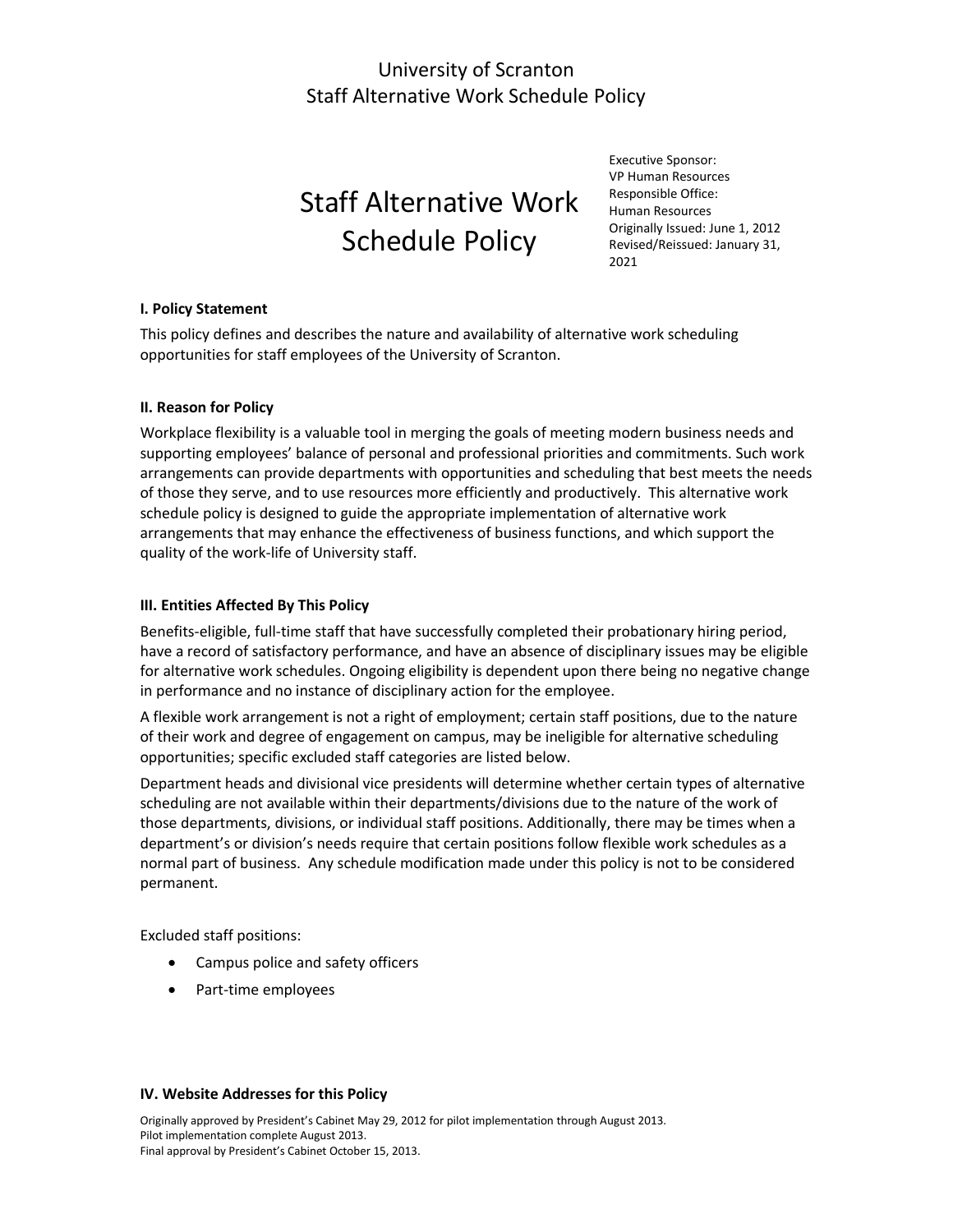## University of Scranton Staff Alternative Work Schedule Policy

# Staff Alternative Work Schedule Policy

Executive Sponsor: VP Human Resources Responsible Office: Human Resources Originally Issued: June 1, 2012 Revised/Reissued: January 31, 2021

#### **I. Policy Statement**

This policy defines and describes the nature and availability of alternative work scheduling opportunities for staff employees of the University of Scranton.

#### **II. Reason for Policy**

Workplace flexibility is a valuable tool in merging the goals of meeting modern business needs and supporting employees' balance of personal and professional priorities and commitments. Such work arrangements can provide departments with opportunities and scheduling that best meets the needs of those they serve, and to use resources more efficiently and productively. This alternative work schedule policy is designed to guide the appropriate implementation of alternative work arrangements that may enhance the effectiveness of business functions, and which support the quality of the work-life of University staff.

#### **III. Entities Affected By This Policy**

Benefits-eligible, full-time staff that have successfully completed their probationary hiring period, have a record of satisfactory performance, and have an absence of disciplinary issues may be eligible for alternative work schedules. Ongoing eligibility is dependent upon there being no negative change in performance and no instance of disciplinary action for the employee.

A flexible work arrangement is not a right of employment; certain staff positions, due to the nature of their work and degree of engagement on campus, may be ineligible for alternative scheduling opportunities; specific excluded staff categories are listed below.

Department heads and divisional vice presidents will determine whether certain types of alternative scheduling are not available within their departments/divisions due to the nature of the work of those departments, divisions, or individual staff positions. Additionally, there may be times when a department's or division's needs require that certain positions follow flexible work schedules as a normal part of business. Any schedule modification made under this policy is not to be considered permanent.

Excluded staff positions:

- Campus police and safety officers
- Part-time employees

#### **IV. Website Addresses for this Policy**

Originally approved by President's Cabinet May 29, 2012 for pilot implementation through August 2013. Pilot implementation complete August 2013. Final approval by President's Cabinet October 15, 2013.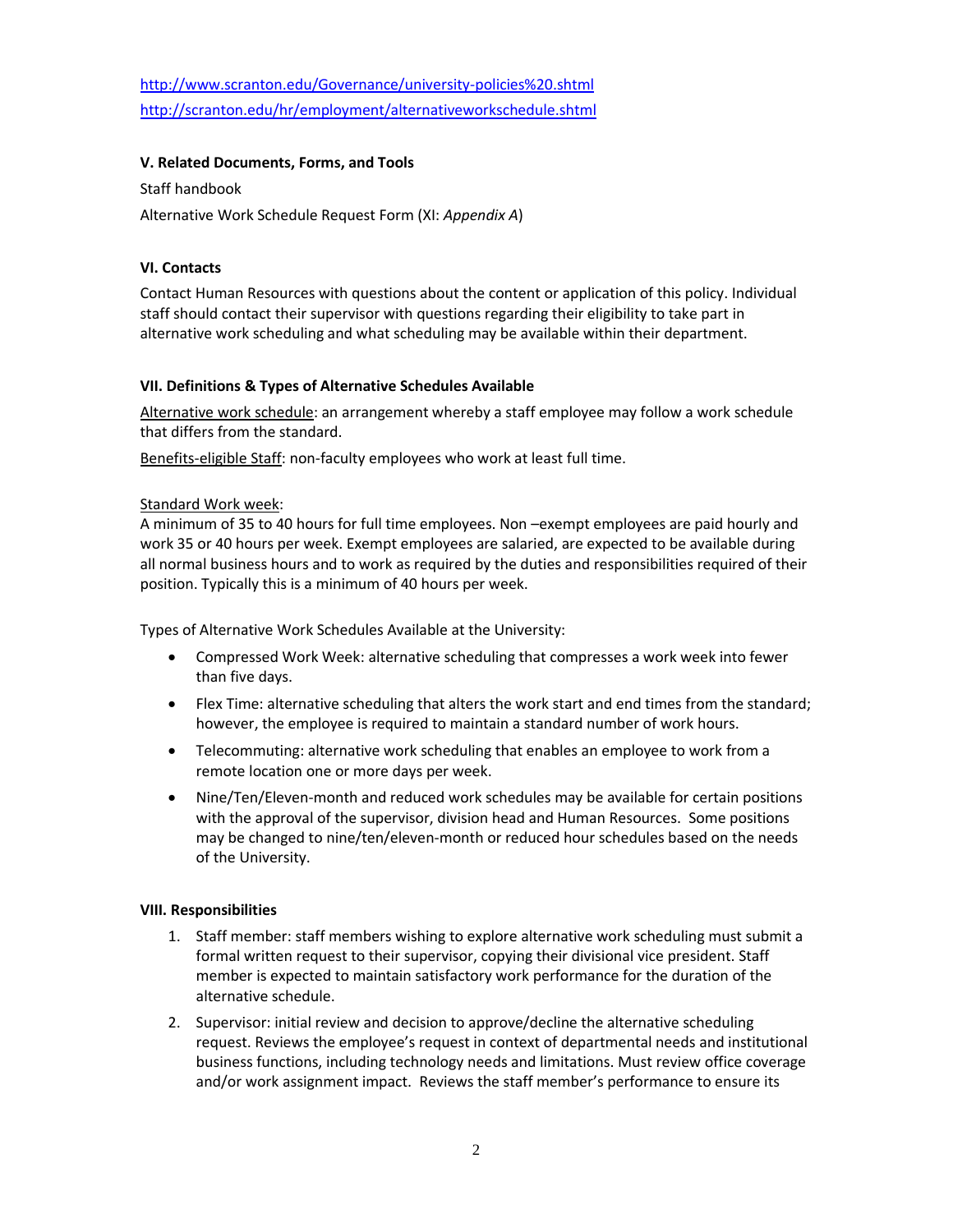<http://www.scranton.edu/Governance/university-policies%20.shtml> <http://scranton.edu/hr/employment/alternativeworkschedule.shtml>

#### **V. Related Documents, Forms, and Tools**

Staff handbook

Alternative Work Schedule Request Form (XI: *Appendix A*)

#### **VI. Contacts**

Contact Human Resources with questions about the content or application of this policy. Individual staff should contact their supervisor with questions regarding their eligibility to take part in alternative work scheduling and what scheduling may be available within their department.

#### **VII. Definitions & Types of Alternative Schedules Available**

Alternative work schedule: an arrangement whereby a staff employee may follow a work schedule that differs from the standard.

Benefits-eligible Staff: non-faculty employees who work at least full time.

#### Standard Work week:

A minimum of 35 to 40 hours for full time employees. Non –exempt employees are paid hourly and work 35 or 40 hours per week. Exempt employees are salaried, are expected to be available during all normal business hours and to work as required by the duties and responsibilities required of their position. Typically this is a minimum of 40 hours per week.

Types of Alternative Work Schedules Available at the University:

- Compressed Work Week: alternative scheduling that compresses a work week into fewer than five days.
- Flex Time: alternative scheduling that alters the work start and end times from the standard; however, the employee is required to maintain a standard number of work hours.
- Telecommuting: alternative work scheduling that enables an employee to work from a remote location one or more days per week.
- Nine/Ten/Eleven-month and reduced work schedules may be available for certain positions with the approval of the supervisor, division head and Human Resources. Some positions may be changed to nine/ten/eleven-month or reduced hour schedules based on the needs of the University.

#### **VIII. Responsibilities**

- 1. Staff member: staff members wishing to explore alternative work scheduling must submit a formal written request to their supervisor, copying their divisional vice president. Staff member is expected to maintain satisfactory work performance for the duration of the alternative schedule.
- 2. Supervisor: initial review and decision to approve/decline the alternative scheduling request. Reviews the employee's request in context of departmental needs and institutional business functions, including technology needs and limitations. Must review office coverage and/or work assignment impact. Reviews the staff member's performance to ensure its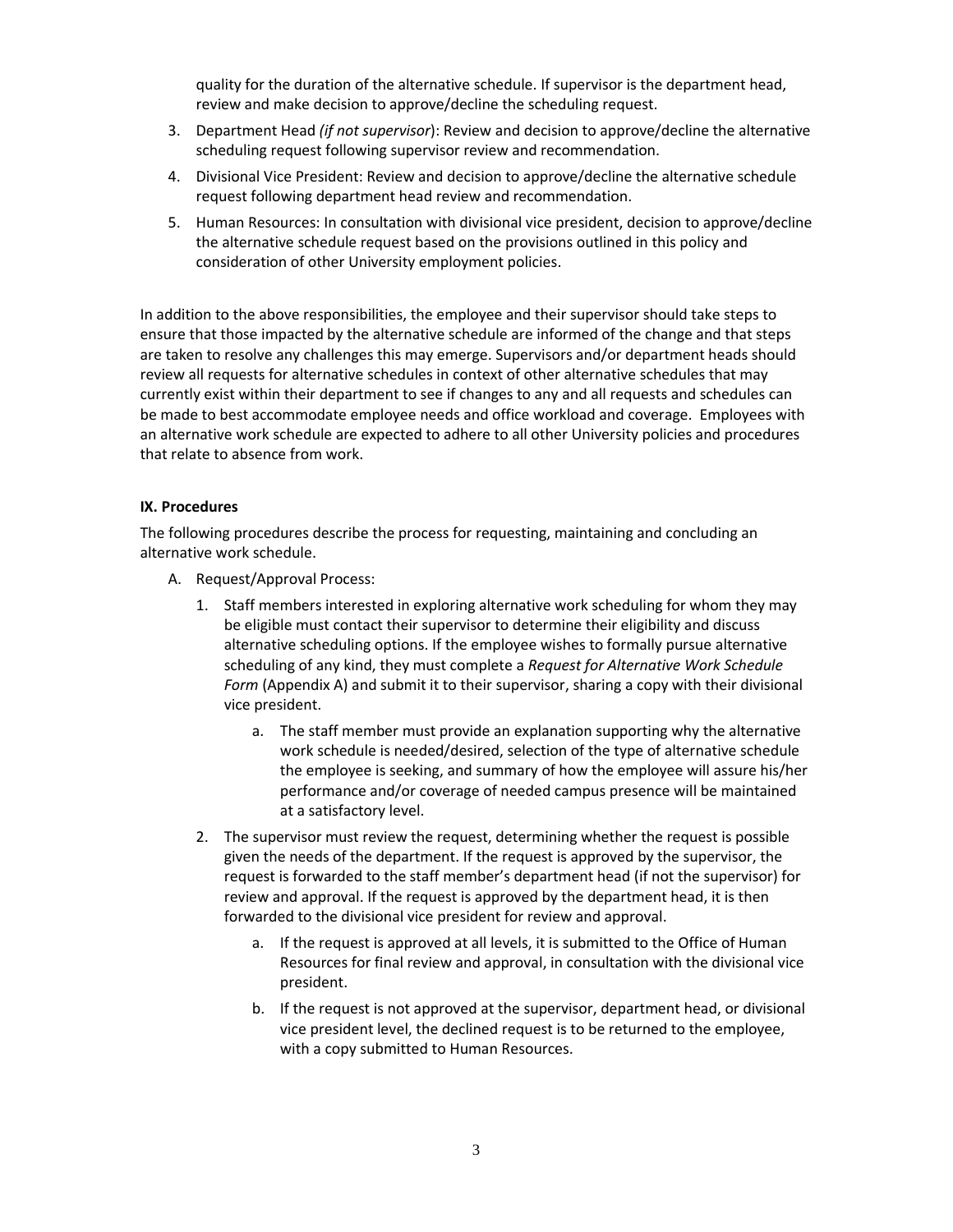quality for the duration of the alternative schedule. If supervisor is the department head, review and make decision to approve/decline the scheduling request.

- 3. Department Head *(if not supervisor*): Review and decision to approve/decline the alternative scheduling request following supervisor review and recommendation.
- 4. Divisional Vice President: Review and decision to approve/decline the alternative schedule request following department head review and recommendation.
- 5. Human Resources: In consultation with divisional vice president, decision to approve/decline the alternative schedule request based on the provisions outlined in this policy and consideration of other University employment policies.

In addition to the above responsibilities, the employee and their supervisor should take steps to ensure that those impacted by the alternative schedule are informed of the change and that steps are taken to resolve any challenges this may emerge. Supervisors and/or department heads should review all requests for alternative schedules in context of other alternative schedules that may currently exist within their department to see if changes to any and all requests and schedules can be made to best accommodate employee needs and office workload and coverage. Employees with an alternative work schedule are expected to adhere to all other University policies and procedures that relate to absence from work.

#### **IX. Procedures**

The following procedures describe the process for requesting, maintaining and concluding an alternative work schedule.

- A. Request/Approval Process:
	- 1. Staff members interested in exploring alternative work scheduling for whom they may be eligible must contact their supervisor to determine their eligibility and discuss alternative scheduling options. If the employee wishes to formally pursue alternative scheduling of any kind, they must complete a *Request for Alternative Work Schedule Form* (Appendix A) and submit it to their supervisor, sharing a copy with their divisional vice president.
		- a. The staff member must provide an explanation supporting why the alternative work schedule is needed/desired, selection of the type of alternative schedule the employee is seeking, and summary of how the employee will assure his/her performance and/or coverage of needed campus presence will be maintained at a satisfactory level.
	- 2. The supervisor must review the request, determining whether the request is possible given the needs of the department. If the request is approved by the supervisor, the request is forwarded to the staff member's department head (if not the supervisor) for review and approval. If the request is approved by the department head, it is then forwarded to the divisional vice president for review and approval.
		- a. If the request is approved at all levels, it is submitted to the Office of Human Resources for final review and approval, in consultation with the divisional vice president.
		- b. If the request is not approved at the supervisor, department head, or divisional vice president level, the declined request is to be returned to the employee, with a copy submitted to Human Resources.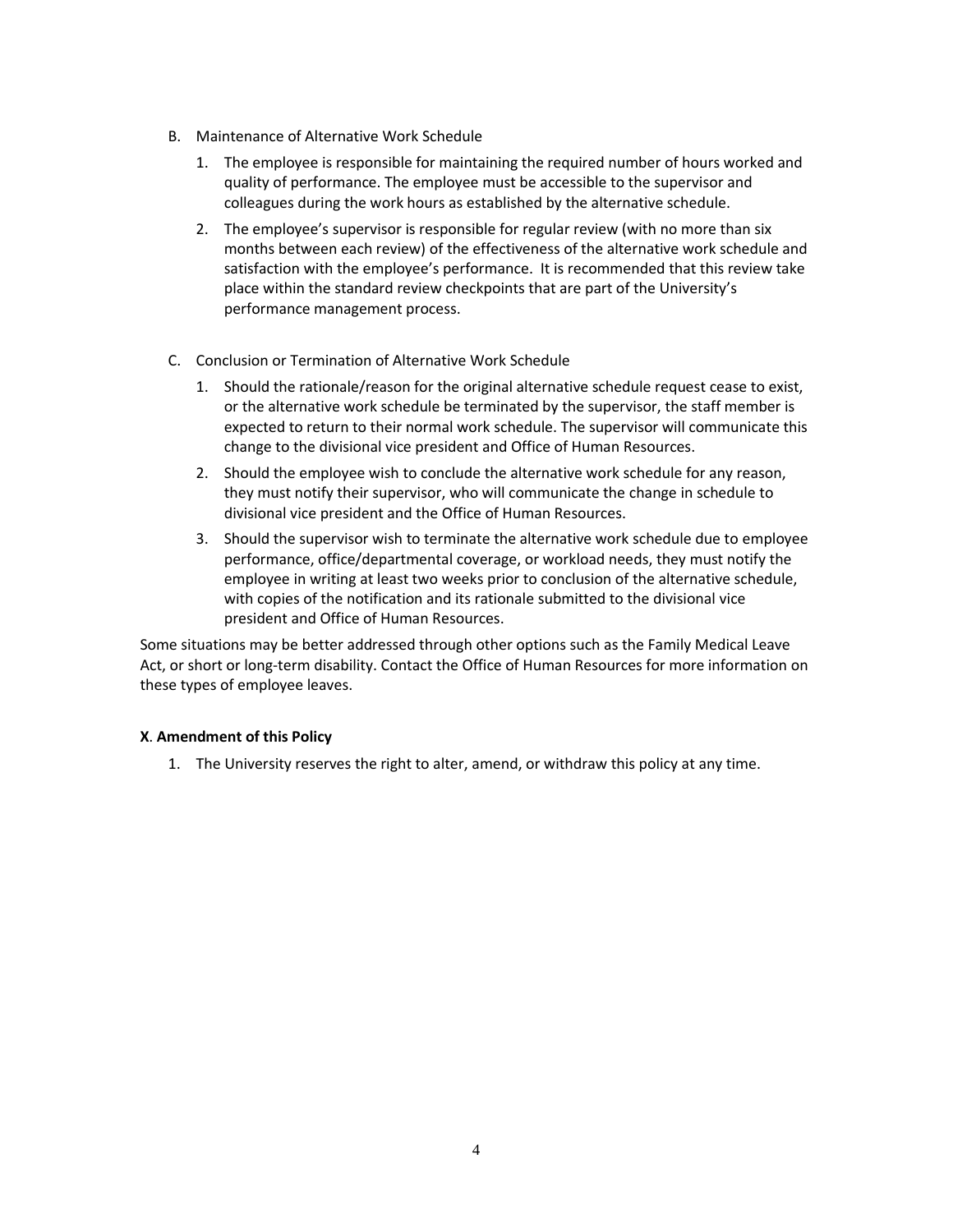- B. Maintenance of Alternative Work Schedule
	- 1. The employee is responsible for maintaining the required number of hours worked and quality of performance. The employee must be accessible to the supervisor and colleagues during the work hours as established by the alternative schedule.
	- 2. The employee's supervisor is responsible for regular review (with no more than six months between each review) of the effectiveness of the alternative work schedule and satisfaction with the employee's performance. It is recommended that this review take place within the standard review checkpoints that are part of the University's performance management process.
- C. Conclusion or Termination of Alternative Work Schedule
	- 1. Should the rationale/reason for the original alternative schedule request cease to exist, or the alternative work schedule be terminated by the supervisor, the staff member is expected to return to their normal work schedule. The supervisor will communicate this change to the divisional vice president and Office of Human Resources.
	- 2. Should the employee wish to conclude the alternative work schedule for any reason, they must notify their supervisor, who will communicate the change in schedule to divisional vice president and the Office of Human Resources.
	- 3. Should the supervisor wish to terminate the alternative work schedule due to employee performance, office/departmental coverage, or workload needs, they must notify the employee in writing at least two weeks prior to conclusion of the alternative schedule, with copies of the notification and its rationale submitted to the divisional vice president and Office of Human Resources.

Some situations may be better addressed through other options such as the Family Medical Leave Act, or short or long-term disability. Contact the Office of Human Resources for more information on these types of employee leaves.

#### **X**. **Amendment of this Policy**

1. The University reserves the right to alter, amend, or withdraw this policy at any time.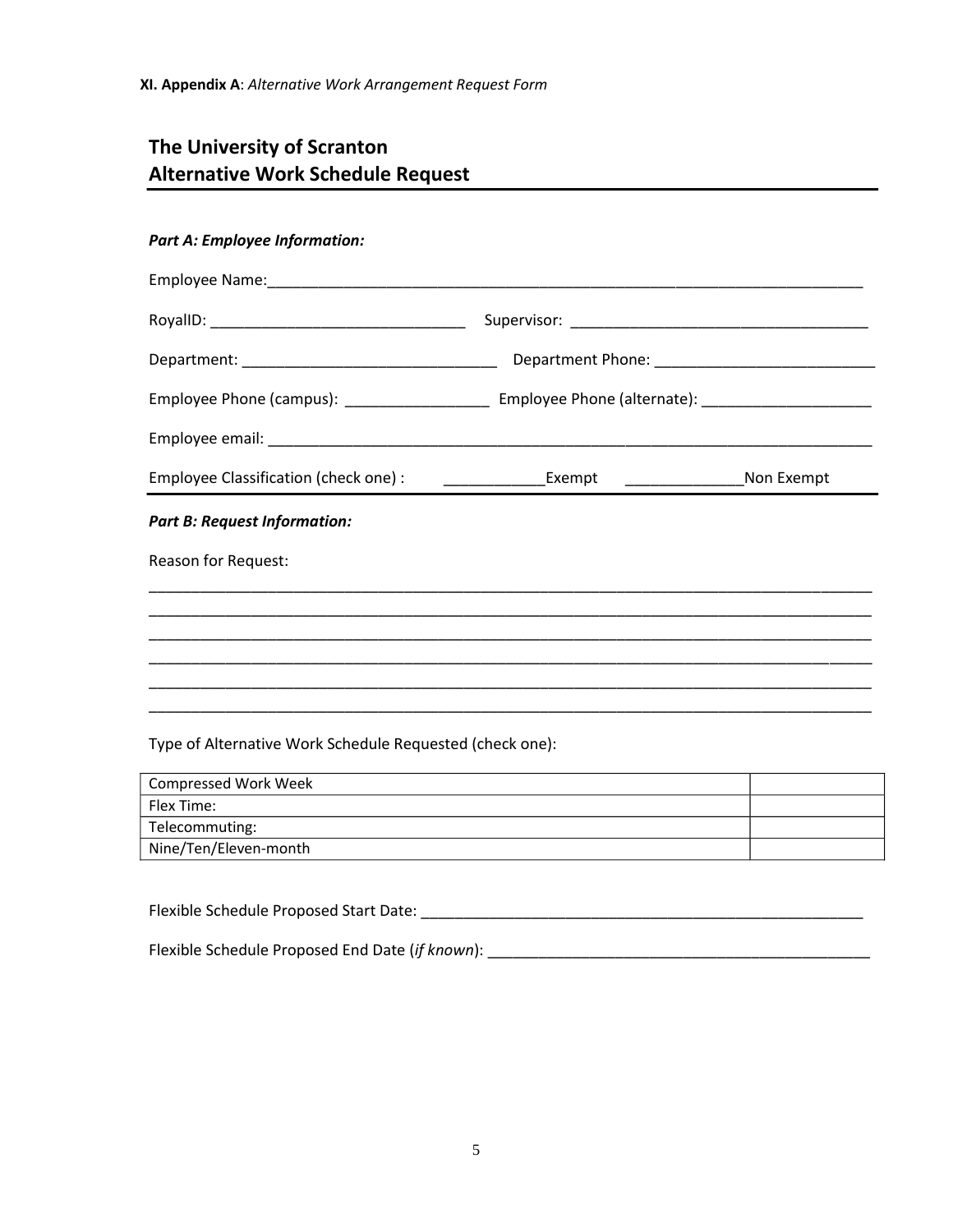# **The University of Scranton Alternative Work Schedule Request**

### *Part A: Employee Information:*

| Employee Classification (check one) :                    | ___________________Exempt   _______________________Non Exempt |  |  |
|----------------------------------------------------------|---------------------------------------------------------------|--|--|
| <b>Part B: Request Information:</b>                      |                                                               |  |  |
| Reason for Request:                                      |                                                               |  |  |
|                                                          |                                                               |  |  |
|                                                          |                                                               |  |  |
|                                                          |                                                               |  |  |
| Type of Alternative Work Schedule Requested (check one): |                                                               |  |  |

| <b>Compressed Work Week</b> |  |
|-----------------------------|--|
| Flex Time:                  |  |
| Telecommuting:              |  |
| Nine/Ten/Eleven-month       |  |

Flexible Schedule Proposed Start Date: \_\_\_\_\_\_\_\_\_\_\_\_\_\_\_\_\_\_\_\_\_\_\_\_\_\_\_\_\_\_\_\_\_\_\_\_\_\_\_\_\_\_\_\_\_\_\_\_\_\_\_\_

Flexible Schedule Proposed End Date (*if known*): \_\_\_\_\_\_\_\_\_\_\_\_\_\_\_\_\_\_\_\_\_\_\_\_\_\_\_\_\_\_\_\_\_\_\_\_\_\_\_\_\_\_\_\_\_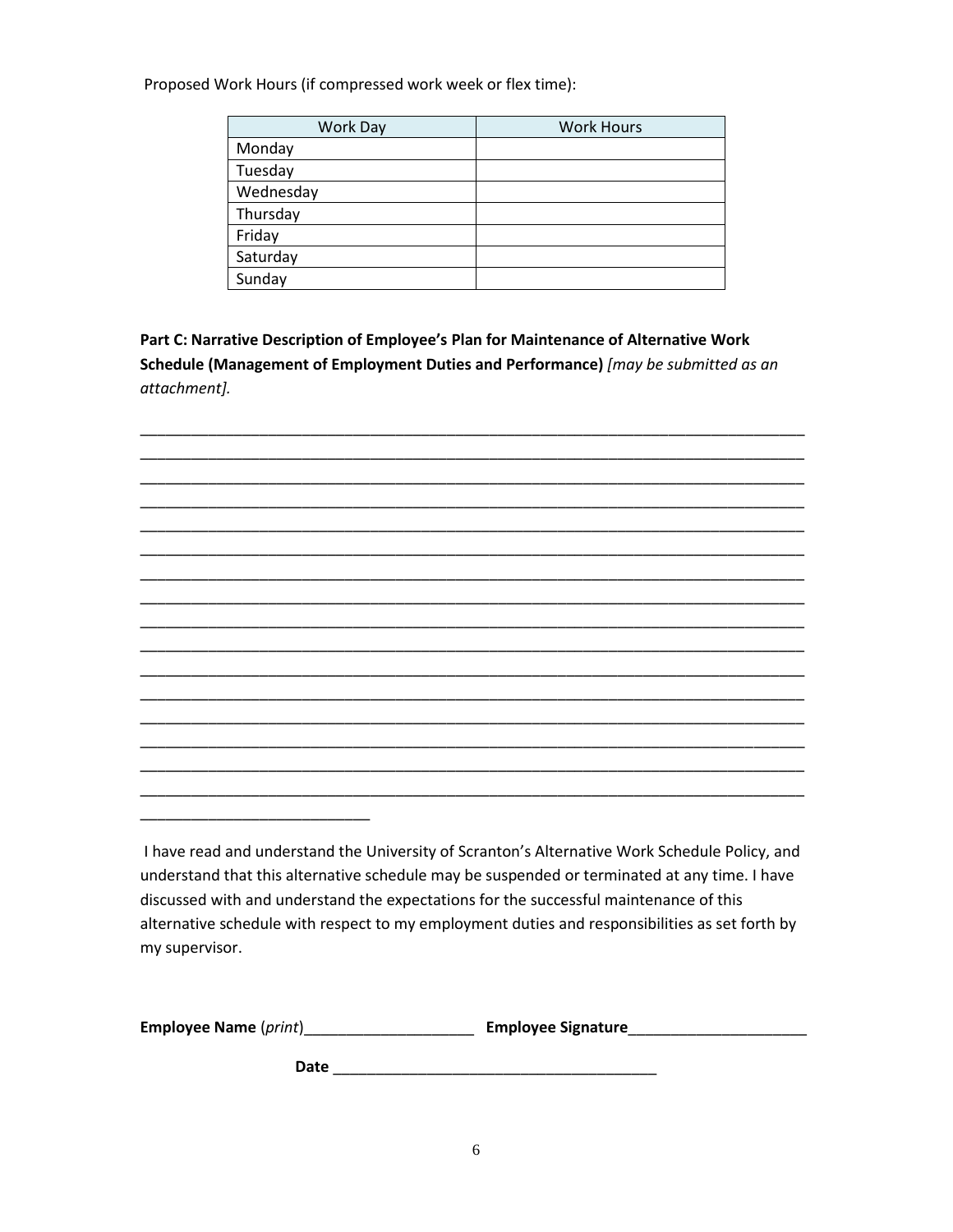Proposed Work Hours (if compressed work week or flex time):

| Work Day  | <b>Work Hours</b> |
|-----------|-------------------|
| Monday    |                   |
| Tuesday   |                   |
| Wednesday |                   |
| Thursday  |                   |
| Friday    |                   |
| Saturday  |                   |
| Sunday    |                   |

**Part C: Narrative Description of Employee's Plan for Maintenance of Alternative Work Schedule (Management of Employment Duties and Performance)** *[may be submitted as an attachment].* 

\_\_\_\_\_\_\_\_\_\_\_\_\_\_\_\_\_\_\_\_\_\_\_\_\_\_\_\_\_\_\_\_\_\_\_\_\_\_\_\_\_\_\_\_\_\_\_\_\_\_\_\_\_\_\_\_\_\_\_\_\_\_\_\_\_\_\_\_\_\_\_\_\_\_\_\_\_\_ \_\_\_\_\_\_\_\_\_\_\_\_\_\_\_\_\_\_\_\_\_\_\_\_\_\_\_\_\_\_\_\_\_\_\_\_\_\_\_\_\_\_\_\_\_\_\_\_\_\_\_\_\_\_\_\_\_\_\_\_\_\_\_\_\_\_\_\_\_\_\_\_\_\_\_\_\_\_ \_\_\_\_\_\_\_\_\_\_\_\_\_\_\_\_\_\_\_\_\_\_\_\_\_\_\_\_\_\_\_\_\_\_\_\_\_\_\_\_\_\_\_\_\_\_\_\_\_\_\_\_\_\_\_\_\_\_\_\_\_\_\_\_\_\_\_\_\_\_\_\_\_\_\_\_\_\_ \_\_\_\_\_\_\_\_\_\_\_\_\_\_\_\_\_\_\_\_\_\_\_\_\_\_\_\_\_\_\_\_\_\_\_\_\_\_\_\_\_\_\_\_\_\_\_\_\_\_\_\_\_\_\_\_\_\_\_\_\_\_\_\_\_\_\_\_\_\_\_\_\_\_\_\_\_\_



I have read and understand the University of Scranton's Alternative Work Schedule Policy, and understand that this alternative schedule may be suspended or terminated at any time. I have discussed with and understand the expectations for the successful maintenance of this alternative schedule with respect to my employment duties and responsibilities as set forth by my supervisor.

| <b>Employee Name (print)</b> | <b>Employee Signature</b> |
|------------------------------|---------------------------|
|                              |                           |

**Date** \_\_\_\_\_\_\_\_\_\_\_\_\_\_\_\_\_\_\_\_\_\_\_\_\_\_\_\_\_\_\_\_\_\_\_\_\_\_